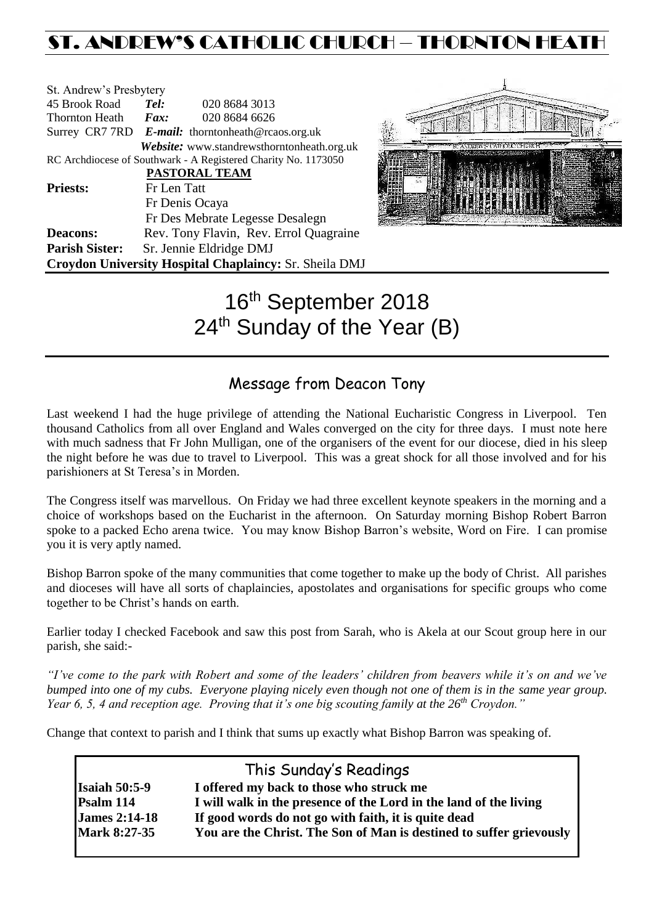# ST. ANDREW'S CATHOLIC CHURCH – THORNTON HEAT

| St. Andrew's Presbytery                                       |                                 |                                                                |  |  |
|---------------------------------------------------------------|---------------------------------|----------------------------------------------------------------|--|--|
| 45 Brook Road                                                 | Tel:                            | 020 8684 3013                                                  |  |  |
| <b>Thornton Heath</b>                                         | Fax:                            | 020 8684 6626                                                  |  |  |
|                                                               |                                 | Surrey CR7 7RD E-mail: thorntonheath@rcaos.org.uk              |  |  |
|                                                               |                                 | Website: www.standrewsthorntonheath.org.uk                     |  |  |
|                                                               |                                 | RC Archdiocese of Southwark - A Registered Charity No. 1173050 |  |  |
|                                                               |                                 | PASTORAL TEAM                                                  |  |  |
| <b>Priests:</b>                                               | Fr Len Tatt                     |                                                                |  |  |
|                                                               | Fr Denis Ocaya                  |                                                                |  |  |
|                                                               | Fr Des Mebrate Legesse Desalegn |                                                                |  |  |
| <b>Deacons:</b>                                               |                                 | Rev. Tony Flavin, Rev. Errol Quagraine                         |  |  |
| <b>Parish Sister:</b>                                         | Sr. Jennie Eldridge DMJ         |                                                                |  |  |
| <b>Croydon University Hospital Chaplaincy: Sr. Sheila DMJ</b> |                                 |                                                                |  |  |



# 16th September 2018 24<sup>th</sup> Sunday of the Year (B)

## Message from Deacon Tony

Last weekend I had the huge privilege of attending the National Eucharistic Congress in Liverpool. Ten thousand Catholics from all over England and Wales converged on the city for three days. I must note here with much sadness that Fr John Mulligan, one of the organisers of the event for our diocese, died in his sleep the night before he was due to travel to Liverpool. This was a great shock for all those involved and for his parishioners at St Teresa's in Morden.

The Congress itself was marvellous. On Friday we had three excellent keynote speakers in the morning and a choice of workshops based on the Eucharist in the afternoon. On Saturday morning Bishop Robert Barron spoke to a packed Echo arena twice. You may know Bishop Barron's website, Word on Fire. I can promise you it is very aptly named.

Bishop Barron spoke of the many communities that come together to make up the body of Christ. All parishes and dioceses will have all sorts of chaplaincies, apostolates and organisations for specific groups who come together to be Christ's hands on earth.

Earlier today I checked Facebook and saw this post from Sarah, who is Akela at our Scout group here in our parish, she said:-

*"I've come to the park with Robert and some of the leaders' children from beavers while it's on and we've bumped into one of my cubs. Everyone playing nicely even though not one of them is in the same year group. Year 6, 5, 4 and reception age. Proving that it's one big scouting family at the 26th Croydon."*

Change that context to parish and I think that sums up exactly what Bishop Barron was speaking of.

|                      | This Sunday's Readings                                              |
|----------------------|---------------------------------------------------------------------|
| <b>Isaiah 50:5-9</b> | I offered my back to those who struck me                            |
| Psalm 114            | I will walk in the presence of the Lord in the land of the living   |
| <b>James 2:14-18</b> | If good words do not go with faith, it is quite dead                |
| <b>Mark 8:27-35</b>  | You are the Christ. The Son of Man is destined to suffer grievously |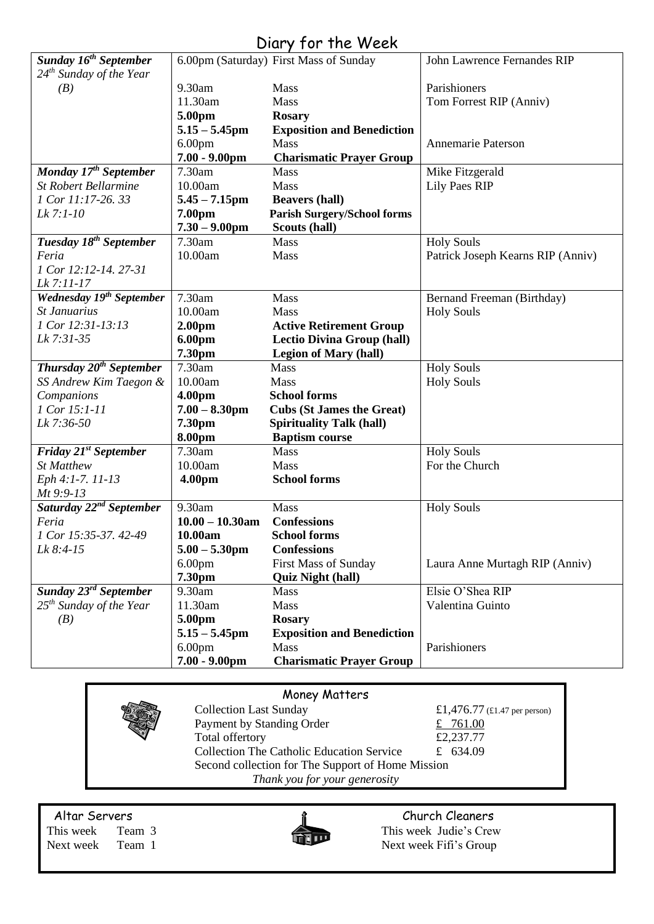## Diary for the Week

| Sunday 16 <sup>th</sup> September    |                    | 6.00pm (Saturday) First Mass of Sunday | John Lawrence Fernandes RIP       |
|--------------------------------------|--------------------|----------------------------------------|-----------------------------------|
| $24th$ Sunday of the Year            |                    |                                        |                                   |
| (B)                                  | 9.30am             | <b>Mass</b>                            | Parishioners                      |
|                                      | 11.30am            | Mass                                   | Tom Forrest RIP (Anniv)           |
|                                      | 5.00pm             | <b>Rosary</b>                          |                                   |
|                                      | $5.15 - 5.45$ pm   | <b>Exposition and Benediction</b>      |                                   |
|                                      | 6.00 <sub>pm</sub> | Mass                                   | Annemarie Paterson                |
|                                      | $7.00 - 9.00$ pm   | <b>Charismatic Prayer Group</b>        |                                   |
| Monday 17 <sup>th</sup> September    | 7.30am             | <b>Mass</b>                            | Mike Fitzgerald                   |
| <b>St Robert Bellarmine</b>          | 10.00am            | Mass                                   | <b>Lily Paes RIP</b>              |
| 1 Cor 11:17-26. 33                   | $5.45 - 7.15$ pm   | <b>Beavers (hall)</b>                  |                                   |
| Lk 7:1-10                            | 7.00pm             | <b>Parish Surgery/School forms</b>     |                                   |
|                                      | $7.30 - 9.00$ pm   | Scouts (hall)                          |                                   |
| Tuesday 18 <sup>th</sup> September   | 7.30am             | Mass                                   | <b>Holy Souls</b>                 |
| Feria                                | 10.00am            | Mass                                   | Patrick Joseph Kearns RIP (Anniv) |
| 1 Cor 12:12-14, 27-31                |                    |                                        |                                   |
| Lk 7:11-17                           |                    |                                        |                                   |
| Wednesday 19 <sup>th</sup> September | 7.30am             | Mass                                   | Bernand Freeman (Birthday)        |
| St Januarius                         | 10.00am            | Mass                                   | <b>Holy Souls</b>                 |
| 1 Cor 12:31-13:13                    | 2.00pm             | <b>Active Retirement Group</b>         |                                   |
| Lk 7:31-35                           | 6.00pm             | <b>Lectio Divina Group (hall)</b>      |                                   |
|                                      | 7.30pm             | <b>Legion of Mary (hall)</b>           |                                   |
| Thursday $20^{th}$ September         | 7.30am             | Mass                                   | <b>Holy Souls</b>                 |
| SS Andrew Kim Taegon &               | 10.00am            | Mass                                   | <b>Holy Souls</b>                 |
| Companions                           | 4.00pm             | <b>School forms</b>                    |                                   |
| 1 Cor 15:1-11                        | $7.00 - 8.30$ pm   | <b>Cubs (St James the Great)</b>       |                                   |
| Lk 7:36-50                           | 7.30pm             | <b>Spirituality Talk (hall)</b>        |                                   |
|                                      | 8.00pm             | <b>Baptism course</b>                  |                                   |
| Friday 21 <sup>st</sup> September    | 7.30am             | Mass                                   | <b>Holy Souls</b>                 |
| <b>St Matthew</b>                    | 10.00am            | Mass                                   | For the Church                    |
| Eph 4:1-7. 11-13                     | 4.00pm             | <b>School forms</b>                    |                                   |
| $Mt$ 9:9-13                          |                    |                                        |                                   |
| Saturday 22 <sup>nd</sup> September  | 9.30am             | Mass                                   | <b>Holy Souls</b>                 |
| Feria                                | $10.00 - 10.30$ am | <b>Confessions</b>                     |                                   |
| 1 Cor 15:35-37, 42-49                | 10.00am            | <b>School forms</b>                    |                                   |
| Lk 8:4-15                            | $5.00 - 5.30$ pm   | <b>Confessions</b>                     |                                   |
|                                      | 6.00 <sub>pm</sub> | <b>First Mass of Sunday</b>            | Laura Anne Murtagh RIP (Anniv)    |
|                                      | 7.30pm             | <b>Quiz Night (hall)</b>               |                                   |
| Sunday 23 <sup>rd</sup> September    | 9.30am             | Mass                                   | Elsie O'Shea RIP                  |
| $25th$ Sunday of the Year            | 11.30am            | Mass                                   | Valentina Guinto                  |
| (B)                                  | 5.00pm             | <b>Rosary</b>                          |                                   |
|                                      | $5.15 - 5.45$ pm   | <b>Exposition and Benediction</b>      |                                   |
|                                      | 6.00 <sub>pm</sub> | <b>Mass</b>                            | Parishioners                      |
|                                      | $7.00 - 9.00$ pm   | <b>Charismatic Prayer Group</b>        |                                   |

|                               |                                                   | Money Matters                                    |                              |  |  |  |
|-------------------------------|---------------------------------------------------|--------------------------------------------------|------------------------------|--|--|--|
|                               |                                                   | <b>Collection Last Sunday</b>                    | £1,476.77 (£1.47 per person) |  |  |  |
|                               | Payment by Standing Order                         | £ 761.00                                         |                              |  |  |  |
|                               |                                                   | Total offertory                                  | £2,237.77                    |  |  |  |
|                               |                                                   | <b>Collection The Catholic Education Service</b> | £ 634.09                     |  |  |  |
|                               | Second collection for The Support of Home Mission |                                                  |                              |  |  |  |
| Thank you for your generosity |                                                   |                                                  |                              |  |  |  |
|                               |                                                   |                                                  |                              |  |  |  |

Next week Team 1 Next week Fifi's Group



Altar Servers **Church Cleaners Church Cleaners** This week Team 3 This week Judie's Crew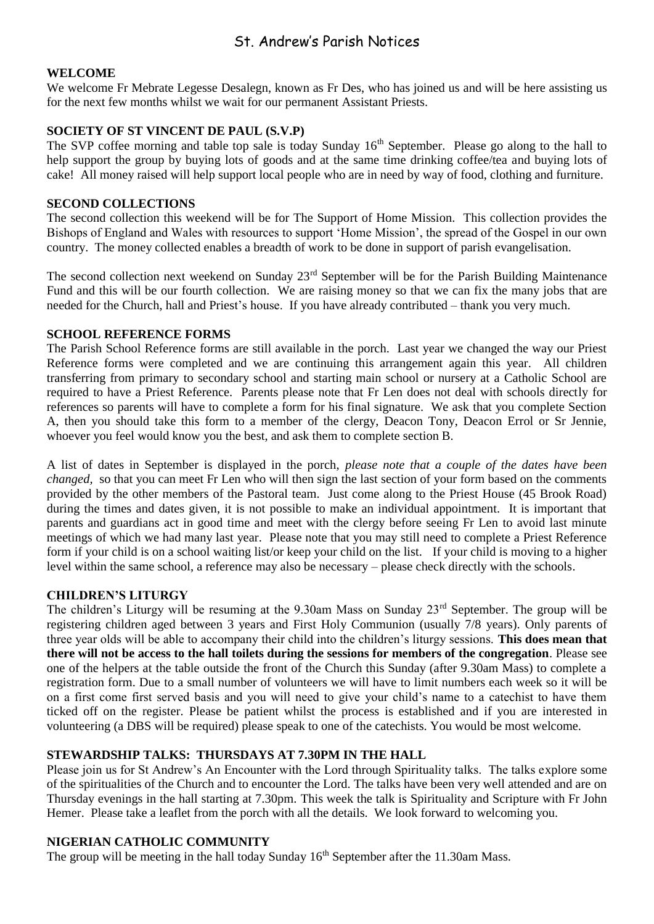### St. Andrew's Parish Notices

#### **WELCOME**

We welcome Fr Mebrate Legesse Desalegn, known as Fr Des, who has joined us and will be here assisting us for the next few months whilst we wait for our permanent Assistant Priests.

#### **SOCIETY OF ST VINCENT DE PAUL (S.V.P)**

The SVP coffee morning and table top sale is today Sunday 16<sup>th</sup> September. Please go along to the hall to help support the group by buying lots of goods and at the same time drinking coffee/tea and buying lots of cake! All money raised will help support local people who are in need by way of food, clothing and furniture.

#### **SECOND COLLECTIONS**

The second collection this weekend will be for The Support of Home Mission. This collection provides the Bishops of England and Wales with resources to support 'Home Mission', the spread of the Gospel in our own country. The money collected enables a breadth of work to be done in support of parish evangelisation.

The second collection next weekend on Sunday 23<sup>rd</sup> September will be for the Parish Building Maintenance Fund and this will be our fourth collection. We are raising money so that we can fix the many jobs that are needed for the Church, hall and Priest's house. If you have already contributed – thank you very much.

#### **SCHOOL REFERENCE FORMS**

The Parish School Reference forms are still available in the porch. Last year we changed the way our Priest Reference forms were completed and we are continuing this arrangement again this year. All children transferring from primary to secondary school and starting main school or nursery at a Catholic School are required to have a Priest Reference. Parents please note that Fr Len does not deal with schools directly for references so parents will have to complete a form for his final signature. We ask that you complete Section A, then you should take this form to a member of the clergy, Deacon Tony, Deacon Errol or Sr Jennie, whoever you feel would know you the best, and ask them to complete section B.

A list of dates in September is displayed in the porch, *please note that a couple of the dates have been changed,* so that you can meet Fr Len who will then sign the last section of your form based on the comments provided by the other members of the Pastoral team. Just come along to the Priest House (45 Brook Road) during the times and dates given, it is not possible to make an individual appointment. It is important that parents and guardians act in good time and meet with the clergy before seeing Fr Len to avoid last minute meetings of which we had many last year. Please note that you may still need to complete a Priest Reference form if your child is on a school waiting list/or keep your child on the list. If your child is moving to a higher level within the same school, a reference may also be necessary – please check directly with the schools.

#### **CHILDREN'S LITURGY**

The children's Liturgy will be resuming at the 9.30am Mass on Sunday 23<sup>rd</sup> September. The group will be registering children aged between 3 years and First Holy Communion (usually 7/8 years). Only parents of three year olds will be able to accompany their child into the children's liturgy sessions. **This does mean that there will not be access to the hall toilets during the sessions for members of the congregation**. Please see one of the helpers at the table outside the front of the Church this Sunday (after 9.30am Mass) to complete a registration form. Due to a small number of volunteers we will have to limit numbers each week so it will be on a first come first served basis and you will need to give your child's name to a catechist to have them ticked off on the register. Please be patient whilst the process is established and if you are interested in volunteering (a DBS will be required) please speak to one of the catechists. You would be most welcome.

#### **STEWARDSHIP TALKS: THURSDAYS AT 7.30PM IN THE HALL**

Please join us for St Andrew's An Encounter with the Lord through Spirituality talks. The talks explore some of the spiritualities of the Church and to encounter the Lord. The talks have been very well attended and are on Thursday evenings in the hall starting at 7.30pm. This week the talk is Spirituality and Scripture with Fr John Hemer. Please take a leaflet from the porch with all the details. We look forward to welcoming you.

#### **NIGERIAN CATHOLIC COMMUNITY**

The group will be meeting in the hall today Sunday  $16<sup>th</sup>$  September after the 11.30am Mass.